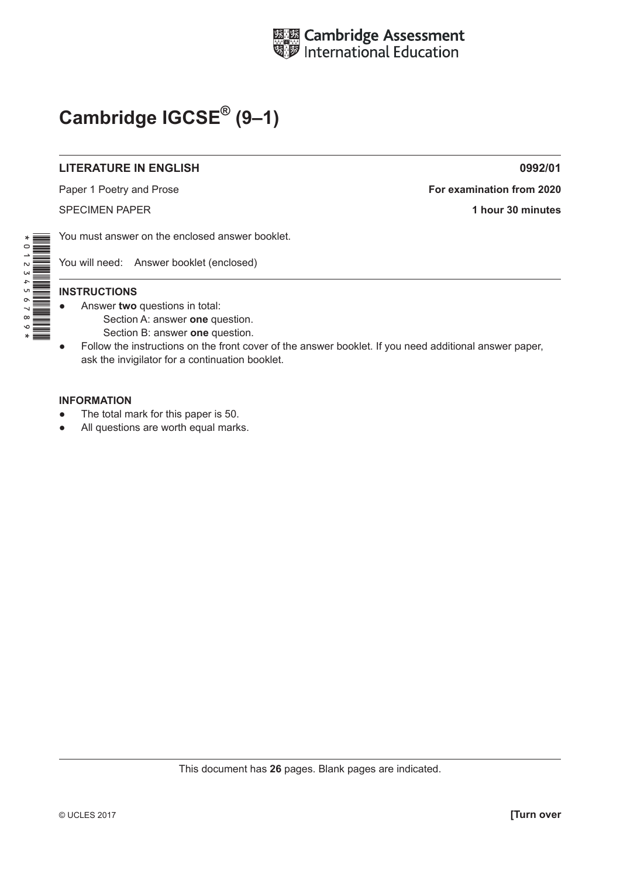

# **Cambridge IGCSE® (9–1)**

## **LITERATURE IN ENGLISH 0992/01**

SPECIMEN PAPER **1 hour 30 minutes**

You must answer on the enclosed answer booklet.

You will need: Answer booklet (enclosed)

## **INSTRUCTIONS**

\*0123456789\*

- Answer **two** questions in total: Section A: answer **one** question. Section B: answer **one** question.
- Follow the instructions on the front cover of the answer booklet. If you need additional answer paper, ask the invigilator for a continuation booklet.

#### **INFORMATION**

- The total mark for this paper is 50.
- All questions are worth equal marks.

Paper 1 Poetry and Prose **For examination from 2020** 

This document has **26** pages. Blank pages are indicated.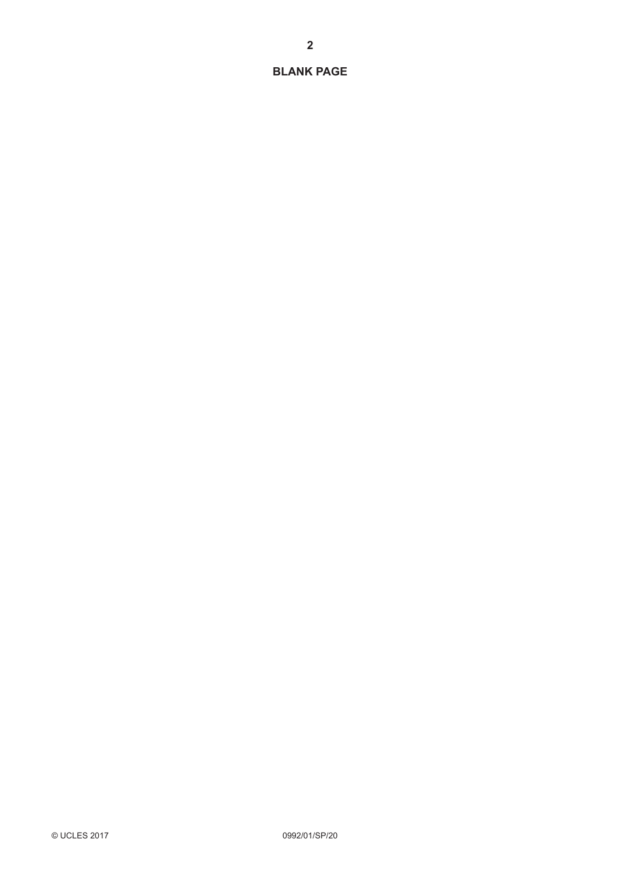# **BLANK PAGE**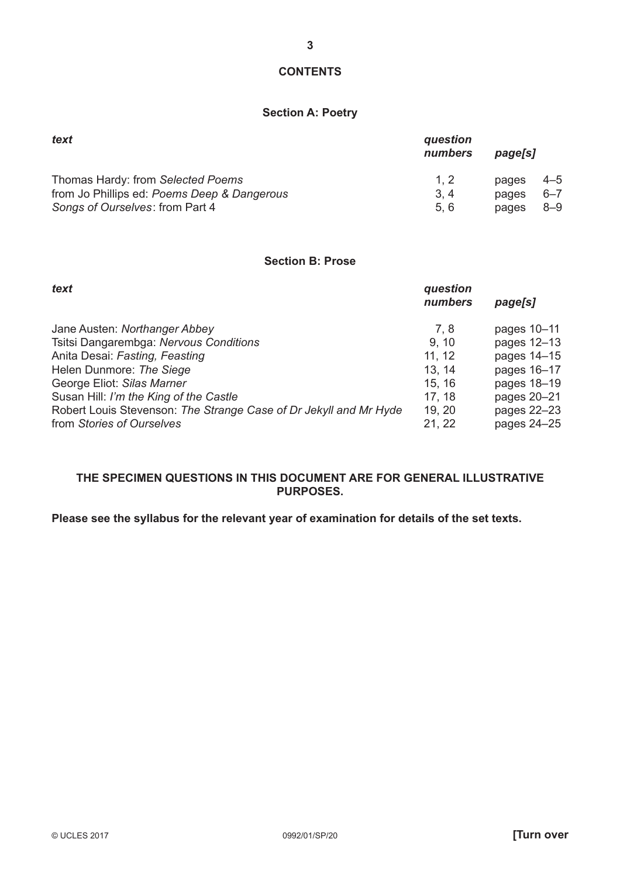## **CONTENTS**

## **Section A: Poetry**

| text                                        | question<br>numbers<br>page[s] |       |         |
|---------------------------------------------|--------------------------------|-------|---------|
| Thomas Hardy: from Selected Poems           | 1, 2                           | pages | $4 - 5$ |
| from Jo Phillips ed: Poems Deep & Dangerous | 3, 4                           | pages | $6 - 7$ |
| Songs of Ourselves: from Part 4             | 5, 6                           | pages | $8 - 9$ |

## **Section B: Prose**

| text                                                              | question |             |
|-------------------------------------------------------------------|----------|-------------|
|                                                                   | numbers  | page[s]     |
| Jane Austen: Northanger Abbey                                     | 7.8      | pages 10-11 |
| Tsitsi Dangarembga: Nervous Conditions                            | 9, 10    | pages 12-13 |
| Anita Desai: Fasting, Feasting                                    | 11, 12   | pages 14-15 |
| Helen Dunmore: The Siege                                          | 13, 14   | pages 16-17 |
| George Eliot: Silas Marner                                        | 15, 16   | pages 18-19 |
| Susan Hill: I'm the King of the Castle                            | 17, 18   | pages 20-21 |
| Robert Louis Stevenson: The Strange Case of Dr Jekyll and Mr Hyde | 19, 20   | pages 22-23 |
| from Stories of Ourselves                                         | 21, 22   | pages 24-25 |

# **THE SPECIMEN QUESTIONS IN THIS DOCUMENT ARE FOR GENERAL ILLUSTRATIVE PURPOSES.**

**Please see the syllabus for the relevant year of examination for details of the set texts.**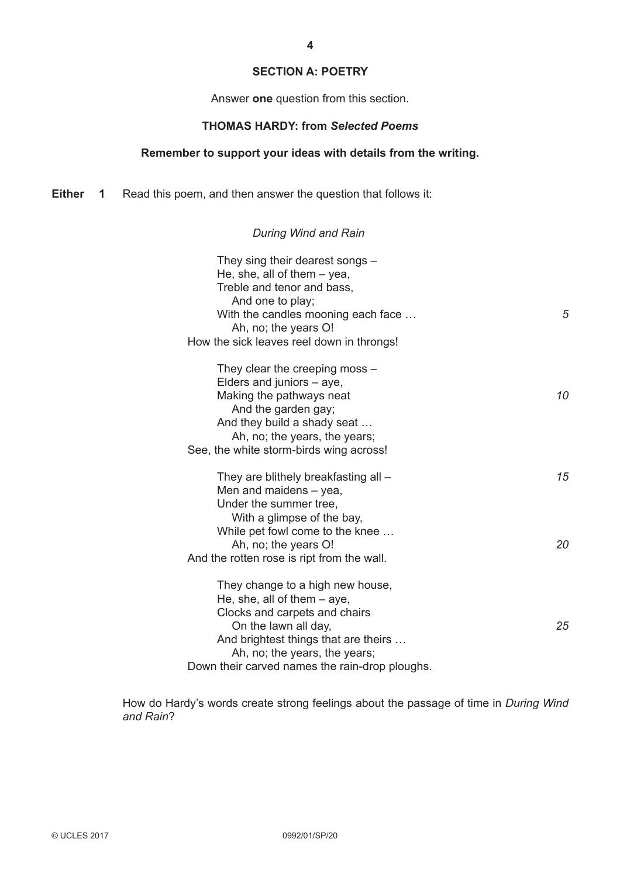# **SECTION A: POETRY**

Answer **one** question from this section.

# **THOMAS HARDY: from** *Selected Poems*

## **Remember to support your ideas with details from the writing.**

**Either** 1 Read this poem, and then answer the question that follows it:

## *During Wind and Rain*

| They sing their dearest songs $-$<br>He, she, all of them $-$ yea,<br>Treble and tenor and bass,<br>And one to play;<br>With the candles mooning each face<br>Ah, no; the years O!<br>How the sick leaves reel down in throngs!                       | 5  |
|-------------------------------------------------------------------------------------------------------------------------------------------------------------------------------------------------------------------------------------------------------|----|
| They clear the creeping moss $-$<br>Elders and juniors $-$ aye,<br>Making the pathways neat<br>And the garden gay;<br>And they build a shady seat<br>Ah, no; the years, the years;<br>See, the white storm-birds wing across!                         | 10 |
| They are blithely breakfasting all –<br>Men and maidens $-$ yea,<br>Under the summer tree,                                                                                                                                                            | 15 |
| With a glimpse of the bay,<br>While pet fowl come to the knee<br>Ah, no; the years O!<br>And the rotten rose is ript from the wall.                                                                                                                   | 20 |
| They change to a high new house,<br>He, she, all of them $-$ aye,<br>Clocks and carpets and chairs<br>On the lawn all day,<br>And brightest things that are theirs<br>Ah, no; the years, the years;<br>Down their carved names the rain-drop ploughs. | 25 |

How do Hardy's words create strong feelings about the passage of time in *During Wind and Rain*?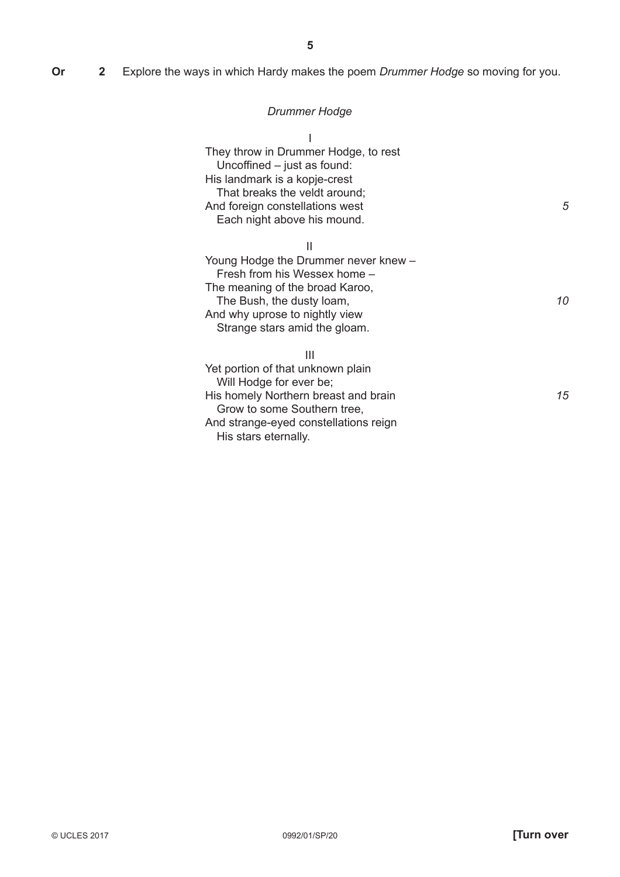**Or 2** Explore the ways in which Hardy makes the poem *Drummer Hodge* so moving for you.

#### *Drummer Hodge*

I They throw in Drummer Hodge, to rest Uncoffined – just as found: His landmark is a kopje-crest That breaks the veldt around; And foreign constellations west Each night above his mound.

II Young Hodge the Drummer never knew – Fresh from his Wessex home – The meaning of the broad Karoo, The Bush, the dusty loam, And why uprose to nightly view Strange stars amid the gloam.

III

| Yet portion of that unknown plain                             |  |
|---------------------------------------------------------------|--|
| Will Hodge for ever be;                                       |  |
| His homely Northern breast and brain                          |  |
| Grow to some Southern tree,                                   |  |
| And strange-eyed constellations reign<br>His stars eternally. |  |
|                                                               |  |

*10*

*5*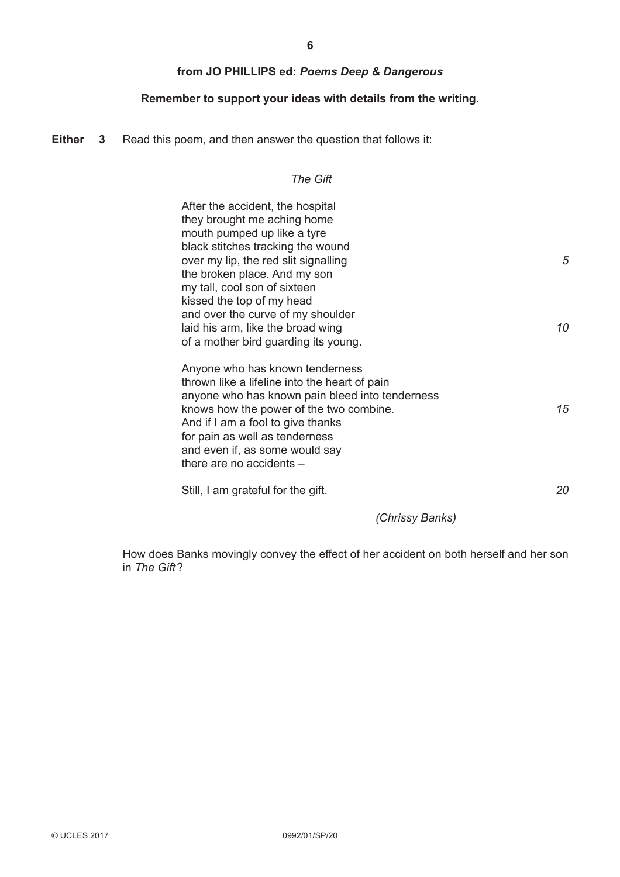# **from JO PHILLIPS ed:** *Poems Deep & Dangerous*

## **Remember to support your ideas with details from the writing.**

**Either** 3 Read this poem, and then answer the question that follows it:

## *The Gift*

| After the accident, the hospital<br>they brought me aching home                                                                                                                                                                                                                                                     |    |
|---------------------------------------------------------------------------------------------------------------------------------------------------------------------------------------------------------------------------------------------------------------------------------------------------------------------|----|
| mouth pumped up like a tyre<br>black stitches tracking the wound<br>over my lip, the red slit signalling<br>the broken place. And my son<br>my tall, cool son of sixteen<br>kissed the top of my head                                                                                                               | 5  |
| and over the curve of my shoulder<br>laid his arm, like the broad wing<br>of a mother bird guarding its young.                                                                                                                                                                                                      | 10 |
| Anyone who has known tenderness<br>thrown like a lifeline into the heart of pain<br>anyone who has known pain bleed into tenderness<br>knows how the power of the two combine.<br>And if I am a fool to give thanks<br>for pain as well as tenderness<br>and even if, as some would say<br>there are no accidents - | 15 |
| Still, I am grateful for the gift.                                                                                                                                                                                                                                                                                  | 20 |
|                                                                                                                                                                                                                                                                                                                     |    |

*(Chrissy Banks)*

How does Banks movingly convey the effect of her accident on both herself and her son in *The Gift* ?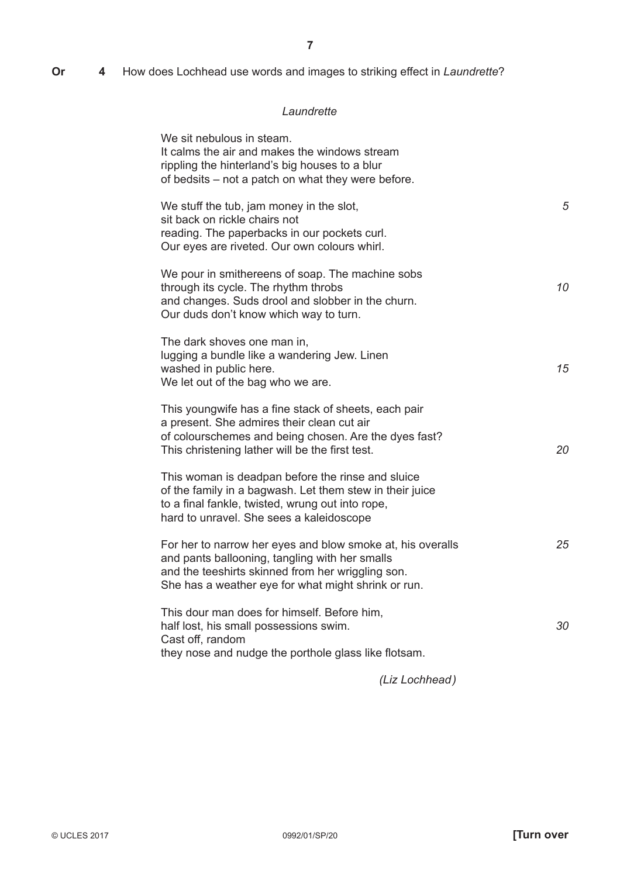**Or 4** How does Lochhead use words and images to striking effect in *Laundrette*?

# *Laundrette*

| We sit nebulous in steam.<br>It calms the air and makes the windows stream<br>rippling the hinterland's big houses to a blur<br>of bedsits – not a patch on what they were before.                                       |    |
|--------------------------------------------------------------------------------------------------------------------------------------------------------------------------------------------------------------------------|----|
| We stuff the tub, jam money in the slot,<br>sit back on rickle chairs not<br>reading. The paperbacks in our pockets curl.<br>Our eyes are riveted. Our own colours whirl.                                                | 5  |
| We pour in smithereens of soap. The machine sobs<br>through its cycle. The rhythm throbs<br>and changes. Suds drool and slobber in the churn.<br>Our duds don't know which way to turn.                                  | 10 |
| The dark shoves one man in,<br>lugging a bundle like a wandering Jew. Linen<br>washed in public here.<br>We let out of the bag who we are.                                                                               | 15 |
| This youngwife has a fine stack of sheets, each pair<br>a present. She admires their clean cut air<br>of colourschemes and being chosen. Are the dyes fast?<br>This christening lather will be the first test.           | 20 |
| This woman is deadpan before the rinse and sluice<br>of the family in a bagwash. Let them stew in their juice<br>to a final fankle, twisted, wrung out into rope,<br>hard to unravel. She sees a kaleidoscope            |    |
| For her to narrow her eyes and blow smoke at, his overalls<br>and pants ballooning, tangling with her smalls<br>and the teeshirts skinned from her wriggling son.<br>She has a weather eye for what might shrink or run. | 25 |
| This dour man does for himself. Before him,<br>half lost, his small possessions swim.<br>Cast off, random<br>they nose and nudge the porthole glass like flotsam.                                                        | 30 |
|                                                                                                                                                                                                                          |    |

*(Liz Lochhead )*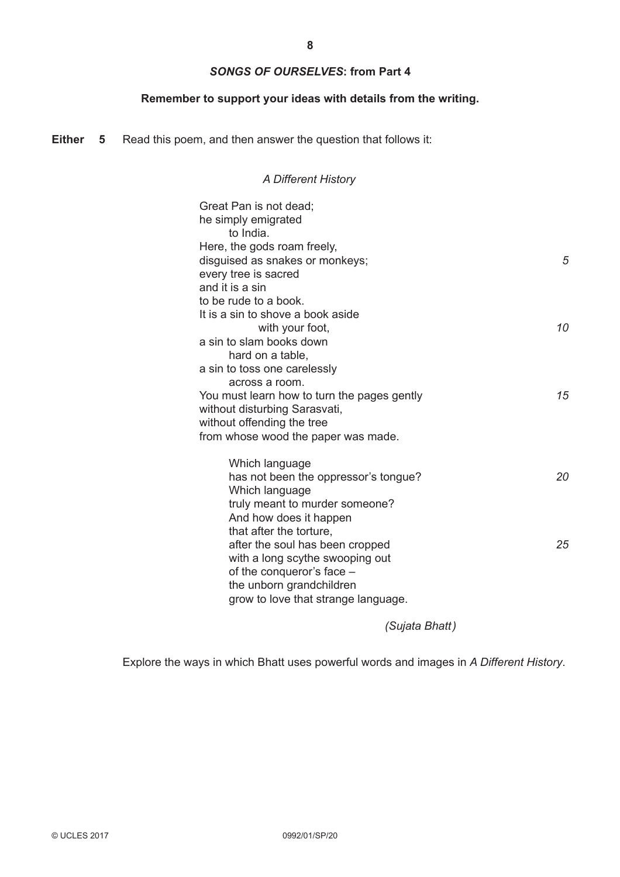## *SONGS OF OURSELVES***: from Part 4**

## **Remember to support your ideas with details from the writing.**

**Either** 5 Read this poem, and then answer the question that follows it:

### *A Different History*

| Great Pan is not dead;                      |    |
|---------------------------------------------|----|
| he simply emigrated                         |    |
| to India.                                   |    |
| Here, the gods roam freely,                 |    |
| disguised as snakes or monkeys;             | 5  |
| every tree is sacred                        |    |
| and it is a sin                             |    |
| to be rude to a book.                       |    |
| It is a sin to shove a book aside           |    |
| with your foot,                             | 10 |
| a sin to slam books down                    |    |
| hard on a table,                            |    |
| a sin to toss one carelessly                |    |
| across a room.                              |    |
| You must learn how to turn the pages gently | 15 |
| without disturbing Sarasvati,               |    |
| without offending the tree                  |    |
| from whose wood the paper was made.         |    |
| Which language                              |    |
| has not been the oppressor's tongue?        | 20 |
| Which language                              |    |
| truly meant to murder someone?              |    |
| And how does it happen                      |    |
| that after the torture,                     |    |
| after the soul has been cropped             | 25 |
| with a long scythe swooping out             |    |
| of the conqueror's face -                   |    |

*(Sujata Bhatt )*

Explore the ways in which Bhatt uses powerful words and images in *A Different History*.

the unborn grandchildren

grow to love that strange language.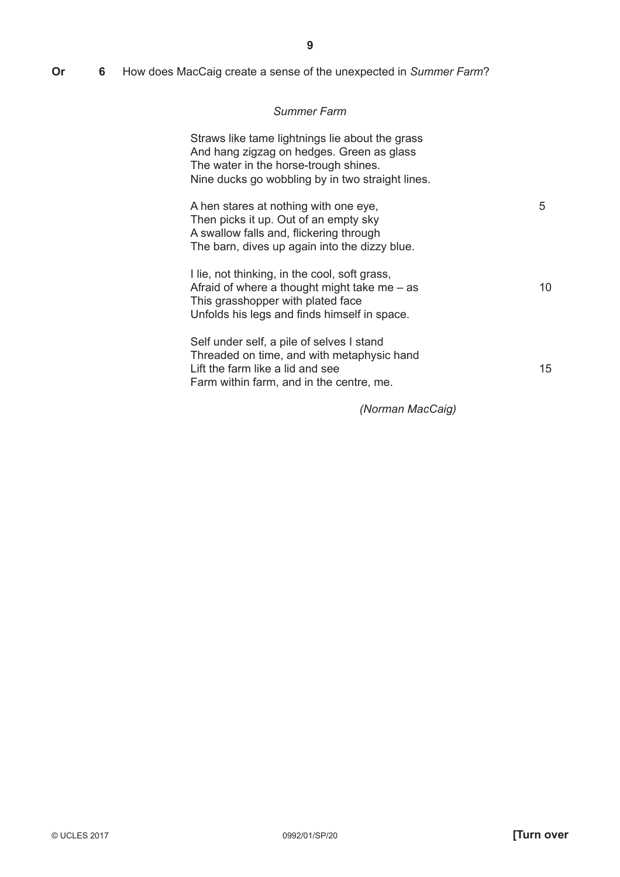**Or 6** How does MacCaig create a sense of the unexpected in *Summer Farm*?

## *Summer Farm*

| Straws like tame lightnings lie about the grass<br>And hang zigzag on hedges. Green as glass<br>The water in the horse-trough shines.<br>Nine ducks go wobbling by in two straight lines. |    |
|-------------------------------------------------------------------------------------------------------------------------------------------------------------------------------------------|----|
| A hen stares at nothing with one eye,<br>Then picks it up. Out of an empty sky<br>A swallow falls and, flickering through<br>The barn, dives up again into the dizzy blue.                | 5  |
| I lie, not thinking, in the cool, soft grass,<br>Afraid of where a thought might take me $-$ as<br>This grasshopper with plated face<br>Unfolds his legs and finds himself in space.      | 10 |
| Self under self, a pile of selves I stand<br>Threaded on time, and with metaphysic hand<br>Lift the farm like a lid and see<br>Farm within farm, and in the centre, me.                   | 15 |

*(Norman MacCaig)*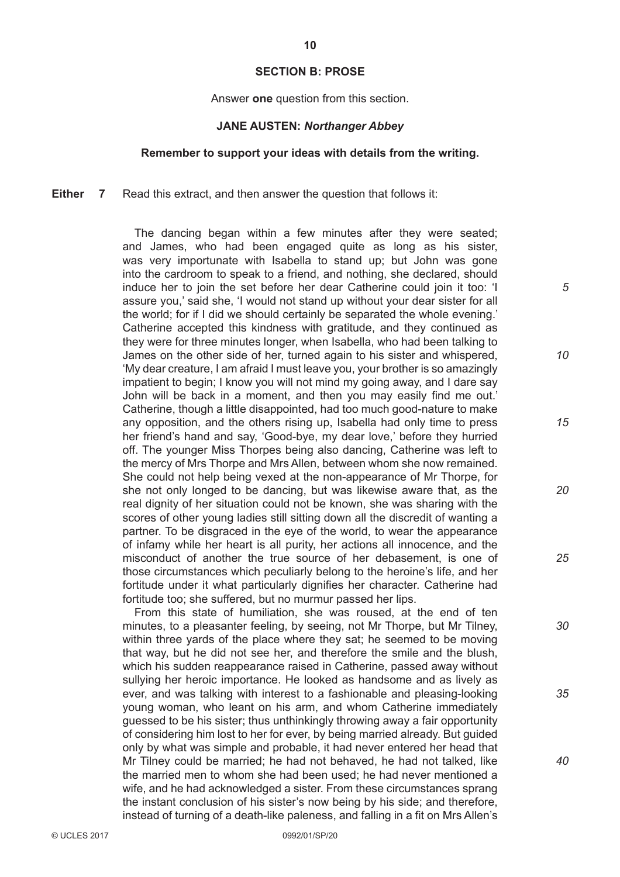#### **SECTION B: PROSE**

**10**

Answer **one** question from this section.

#### **JANE AUSTEN:** *Northanger Abbey*

#### **Remember to support your ideas with details from the writing.**

**Either** 7 Read this extract, and then answer the question that follows it:

The dancing began within a few minutes after they were seated; and James, who had been engaged quite as long as his sister, was very importunate with Isabella to stand up; but John was gone into the cardroom to speak to a friend, and nothing, she declared, should induce her to join the set before her dear Catherine could join it too: 'I assure you,' said she, 'I would not stand up without your dear sister for all the world; for if I did we should certainly be separated the whole evening.' Catherine accepted this kindness with gratitude, and they continued as they were for three minutes longer, when Isabella, who had been talking to James on the other side of her, turned again to his sister and whispered, 'My dear creature, I am afraid I must leave you, your brother is so amazingly impatient to begin; I know you will not mind my going away, and I dare say John will be back in a moment, and then you may easily find me out.' Catherine, though a little disappointed, had too much good-nature to make any opposition, and the others rising up, Isabella had only time to press her friend's hand and say, 'Good-bye, my dear love,' before they hurried off. The younger Miss Thorpes being also dancing, Catherine was left to the mercy of Mrs Thorpe and Mrs Allen, between whom she now remained. She could not help being vexed at the non-appearance of Mr Thorpe, for she not only longed to be dancing, but was likewise aware that, as the real dignity of her situation could not be known, she was sharing with the scores of other young ladies still sitting down all the discredit of wanting a partner. To be disgraced in the eye of the world, to wear the appearance of infamy while her heart is all purity, her actions all innocence, and the misconduct of another the true source of her debasement, is one of those circumstances which peculiarly belong to the heroine's life, and her fortitude under it what particularly dignifies her character. Catherine had fortitude too; she suffered, but no murmur passed her lips.

From this state of humiliation, she was roused, at the end of ten minutes, to a pleasanter feeling, by seeing, not Mr Thorpe, but Mr Tilney, within three yards of the place where they sat; he seemed to be moving that way, but he did not see her, and therefore the smile and the blush, which his sudden reappearance raised in Catherine, passed away without sullying her heroic importance. He looked as handsome and as lively as ever, and was talking with interest to a fashionable and pleasing-looking young woman, who leant on his arm, and whom Catherine immediately guessed to be his sister; thus unthinkingly throwing away a fair opportunity of considering him lost to her for ever, by being married already. But guided only by what was simple and probable, it had never entered her head that Mr Tilney could be married; he had not behaved, he had not talked, like the married men to whom she had been used; he had never mentioned a wife, and he had acknowledged a sister. From these circumstances sprang the instant conclusion of his sister's now being by his side; and therefore, instead of turning of a death-like paleness, and falling in a fit on Mrs Allen's *10*

*20*

*25*

*30*

*35*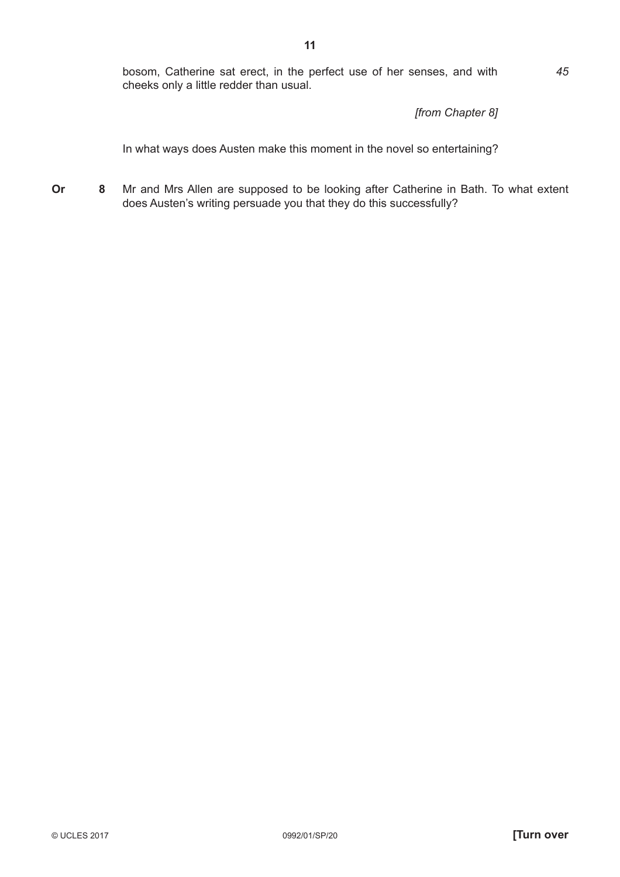bosom, Catherine sat erect, in the perfect use of her senses, and with cheeks only a little redder than usual.

 *[from Chapter 8]*

*45*

In what ways does Austen make this moment in the novel so entertaining?

**Or 8** Mr and Mrs Allen are supposed to be looking after Catherine in Bath. To what extent does Austen's writing persuade you that they do this successfully?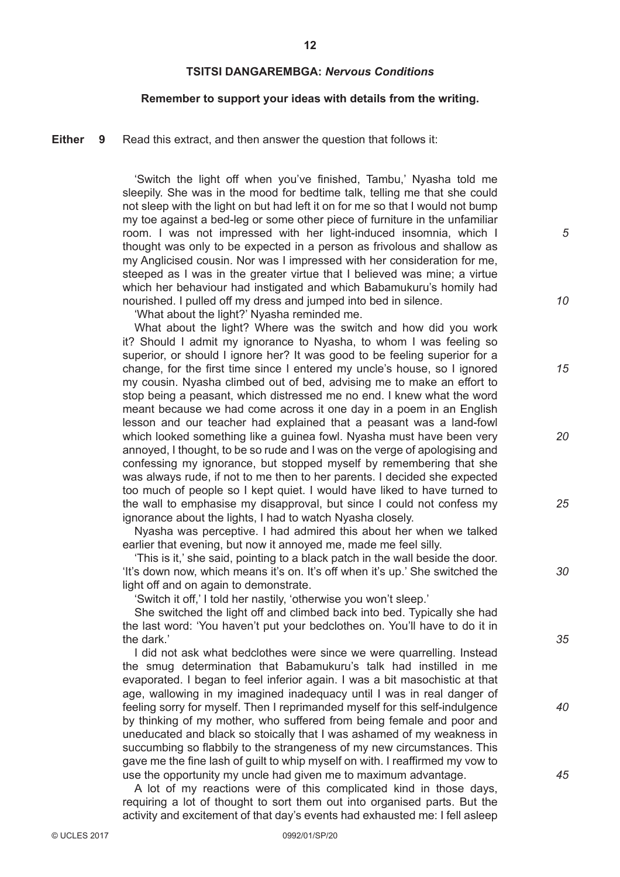## **TSITSI DANGAREMBGA:** *Nervous Conditions*

#### **Remember to support your ideas with details from the writing.**

**Either 9** Read this extract, and then answer the question that follows it:

'Switch the light off when you've finished, Tambu,' Nyasha told me sleepily. She was in the mood for bedtime talk, telling me that she could not sleep with the light on but had left it on for me so that I would not bump my toe against a bed-leg or some other piece of furniture in the unfamiliar room. I was not impressed with her light-induced insomnia, which I thought was only to be expected in a person as frivolous and shallow as my Anglicised cousin. Nor was I impressed with her consideration for me, steeped as I was in the greater virtue that I believed was mine; a virtue which her behaviour had instigated and which Babamukuru's homily had nourished. I pulled off my dress and jumped into bed in silence.

'What about the light?' Nyasha reminded me.

What about the light? Where was the switch and how did you work it? Should I admit my ignorance to Nyasha, to whom I was feeling so superior, or should I ignore her? It was good to be feeling superior for a change, for the first time since I entered my uncle's house, so I ignored my cousin. Nyasha climbed out of bed, advising me to make an effort to stop being a peasant, which distressed me no end. I knew what the word meant because we had come across it one day in a poem in an English lesson and our teacher had explained that a peasant was a land-fowl which looked something like a guinea fowl. Nyasha must have been very annoyed, I thought, to be so rude and I was on the verge of apologising and confessing my ignorance, but stopped myself by remembering that she was always rude, if not to me then to her parents. I decided she expected too much of people so I kept quiet. I would have liked to have turned to the wall to emphasise my disapproval, but since I could not confess my ignorance about the lights, I had to watch Nyasha closely.

Nyasha was perceptive. I had admired this about her when we talked earlier that evening, but now it annoyed me, made me feel silly.

'This is it,' she said, pointing to a black patch in the wall beside the door. 'It's down now, which means it's on. It's off when it's up.' She switched the light off and on again to demonstrate.

'Switch it off,' I told her nastily, 'otherwise you won't sleep.'

She switched the light off and climbed back into bed. Typically she had the last word: 'You haven't put your bedclothes on. You'll have to do it in the dark.'

I did not ask what bedclothes were since we were quarrelling. Instead the smug determination that Babamukuru's talk had instilled in me evaporated. I began to feel inferior again. I was a bit masochistic at that age, wallowing in my imagined inadequacy until I was in real danger of feeling sorry for myself. Then I reprimanded myself for this self-indulgence by thinking of my mother, who suffered from being female and poor and uneducated and black so stoically that I was ashamed of my weakness in succumbing so flabbily to the strangeness of my new circumstances. This gave me the fine lash of guilt to whip myself on with. I reaffirmed my vow to use the opportunity my uncle had given me to maximum advantage.

A lot of my reactions were of this complicated kind in those days, requiring a lot of thought to sort them out into organised parts. But the activity and excitement of that day's events had exhausted me: I fell asleep

*5*

*10*

*20*

*15*

*25*

*30*

*35*

*40*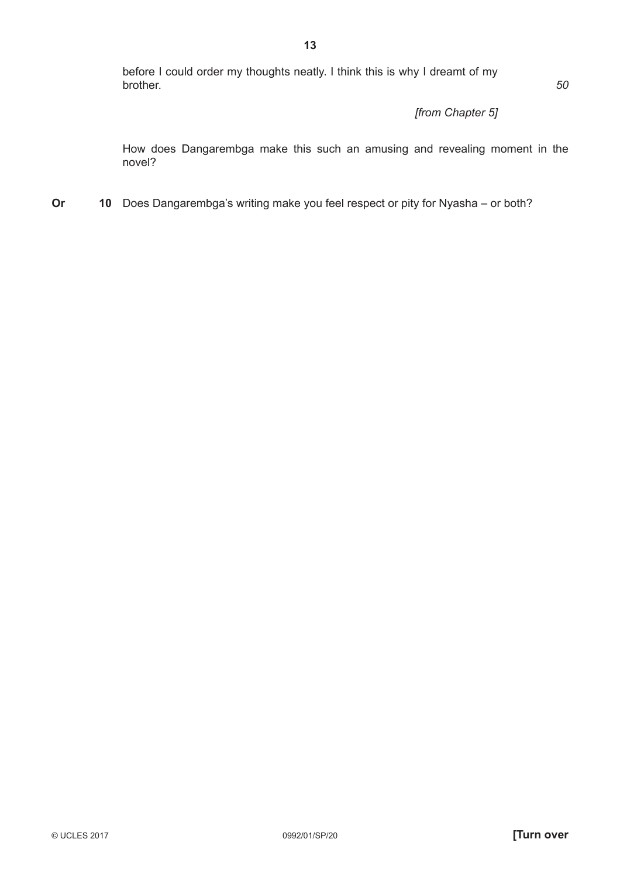before I could order my thoughts neatly. I think this is why I dreamt of my brother.

# *[from Chapter 5]*

*50*

How does Dangarembga make this such an amusing and revealing moment in the novel?

**Or 10** Does Dangarembga's writing make you feel respect or pity for Nyasha – or both?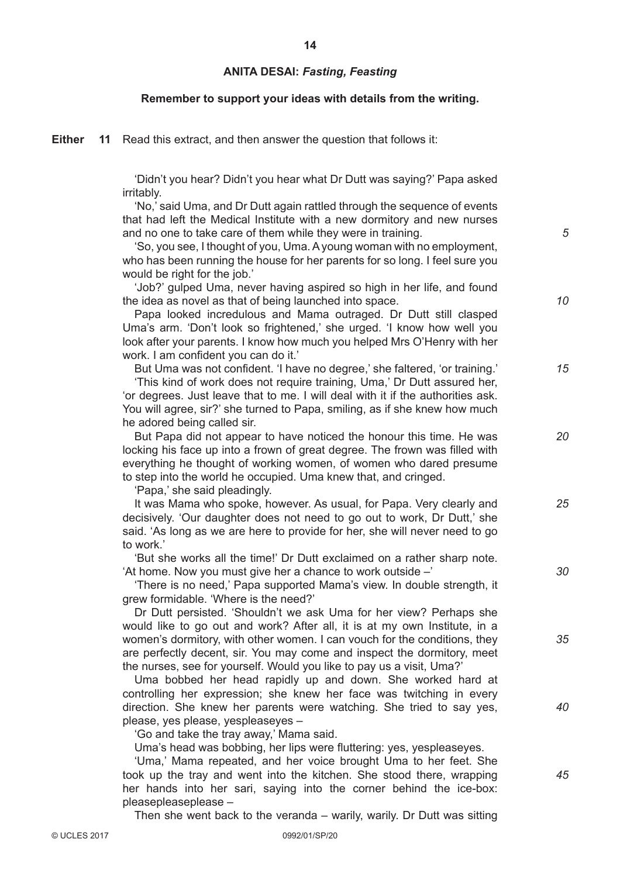## **14**

#### **ANITA DESAI:** *Fasting, Feasting*

#### **Remember to support your ideas with details from the writing.**

**Either 11** Read this extract, and then answer the question that follows it:

'Didn't you hear? Didn't you hear what Dr Dutt was saying?' Papa asked irritably.

'No,' said Uma, and Dr Dutt again rattled through the sequence of events that had left the Medical Institute with a new dormitory and new nurses and no one to take care of them while they were in training.

'So, you see, I thought of you, Uma. A young woman with no employment, who has been running the house for her parents for so long. I feel sure you would be right for the job.'

'Job?' gulped Uma, never having aspired so high in her life, and found the idea as novel as that of being launched into space.

Papa looked incredulous and Mama outraged. Dr Dutt still clasped Uma's arm. 'Don't look so frightened,' she urged. 'I know how well you look after your parents. I know how much you helped Mrs O'Henry with her work. I am confident you can do it.'

But Uma was not confident. 'I have no degree,' she faltered, 'or training.' 'This kind of work does not require training, Uma,' Dr Dutt assured her,

'or degrees. Just leave that to me. I will deal with it if the authorities ask. You will agree, sir?' she turned to Papa, smiling, as if she knew how much he adored being called sir.

But Papa did not appear to have noticed the honour this time. He was locking his face up into a frown of great degree. The frown was filled with everything he thought of working women, of women who dared presume to step into the world he occupied. Uma knew that, and cringed.

'Papa,' she said pleadingly.

It was Mama who spoke, however. As usual, for Papa. Very clearly and decisively. 'Our daughter does not need to go out to work, Dr Dutt,' she said. 'As long as we are here to provide for her, she will never need to go to work.'

'But she works all the time!' Dr Dutt exclaimed on a rather sharp note. 'At home. Now you must give her a chance to work outside –'

'There is no need,' Papa supported Mama's view. In double strength, it grew formidable. 'Where is the need?'

Dr Dutt persisted. 'Shouldn't we ask Uma for her view? Perhaps she would like to go out and work? After all, it is at my own Institute, in a women's dormitory, with other women. I can vouch for the conditions, they are perfectly decent, sir. You may come and inspect the dormitory, meet the nurses, see for yourself. Would you like to pay us a visit, Uma?'

Uma bobbed her head rapidly up and down. She worked hard at controlling her expression; she knew her face was twitching in every direction. She knew her parents were watching. She tried to say yes, please, yes please, yespleaseyes –

'Go and take the tray away,' Mama said.

Uma's head was bobbing, her lips were fluttering: yes, yespleaseyes.

'Uma,' Mama repeated, and her voice brought Uma to her feet. She took up the tray and went into the kitchen. She stood there, wrapping her hands into her sari, saying into the corner behind the ice-box: pleaseplease –

Then she went back to the veranda – warily, warily. Dr Dutt was sitting

*5*

*10*

*15*

*20*

*25*

*30*

*35*

*45*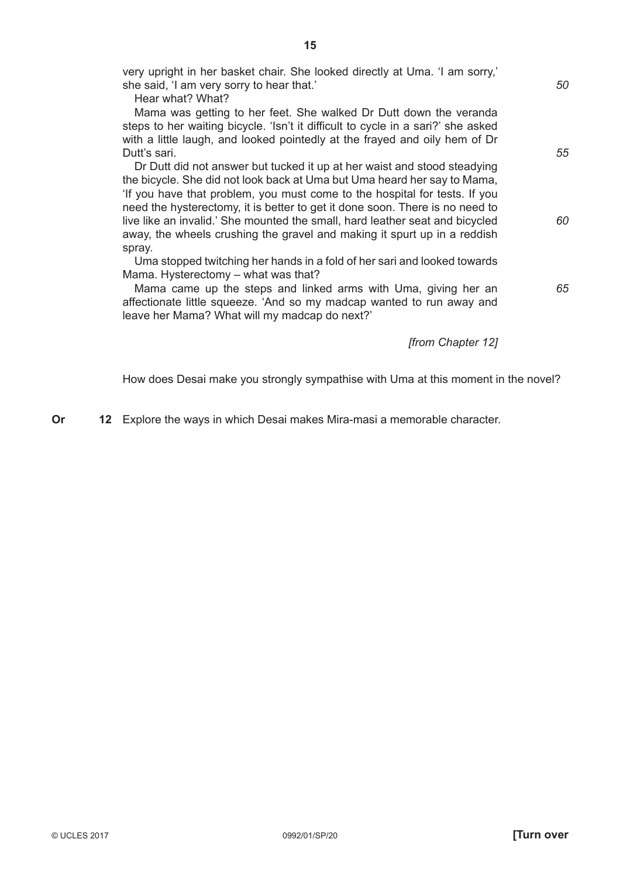very upright in her basket chair. She looked directly at Uma. 'I am sorry,' she said, 'I am very sorry to hear that.'

Hear what? What?

Mama was getting to her feet. She walked Dr Dutt down the veranda steps to her waiting bicycle. 'Isn't it difficult to cycle in a sari?' she asked with a little laugh, and looked pointedly at the frayed and oily hem of Dr Dutt's sari.

Dr Dutt did not answer but tucked it up at her waist and stood steadying the bicycle. She did not look back at Uma but Uma heard her say to Mama, 'If you have that problem, you must come to the hospital for tests. If you need the hysterectomy, it is better to get it done soon. There is no need to live like an invalid.' She mounted the small, hard leather seat and bicycled away, the wheels crushing the gravel and making it spurt up in a reddish spray.

Uma stopped twitching her hands in a fold of her sari and looked towards Mama. Hysterectomy – what was that?

Mama came up the steps and linked arms with Uma, giving her an affectionate little squeeze. 'And so my madcap wanted to run away and leave her Mama? What will my madcap do next?'

 *[from Chapter 12]*

How does Desai make you strongly sympathise with Uma at this moment in the novel?

**Or 12** Explore the ways in which Desai makes Mira-masi a memorable character.

*50*

*55*

*60*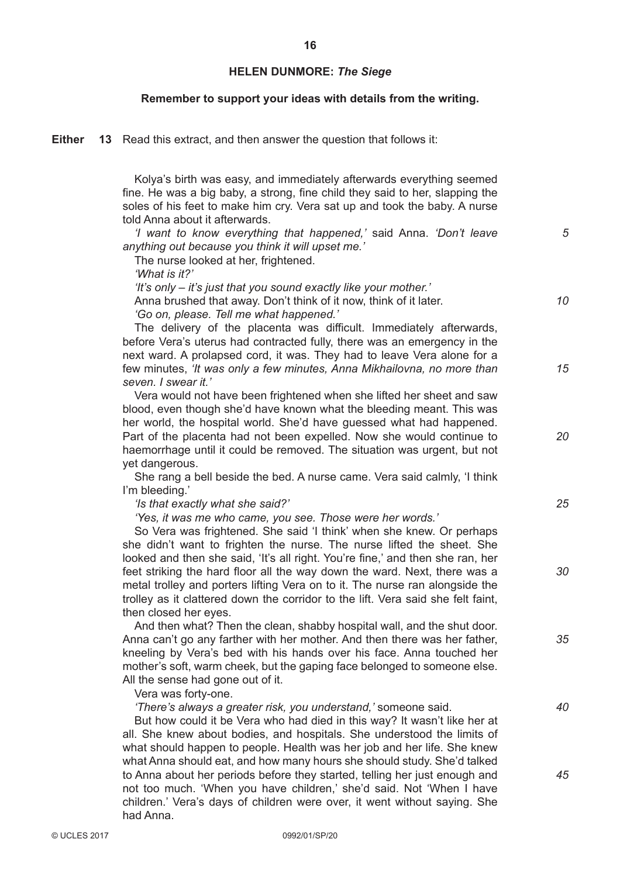#### **HELEN DUNMORE:** *The Siege*

#### **Remember to support your ideas with details from the writing.**

**Either 13** Read this extract, and then answer the question that follows it:

Kolya's birth was easy, and immediately afterwards everything seemed fine. He was a big baby, a strong, fine child they said to her, slapping the soles of his feet to make him cry. Vera sat up and took the baby. A nurse told Anna about it afterwards.

*'I want to know everything that happened,'* said Anna. *'Don't leave anything out because you think it will upset me.'*

The nurse looked at her, frightened.

*'What is it?'*

*'It's only – it's just that you sound exactly like your mother.'*

Anna brushed that away. Don't think of it now, think of it later.

*'Go on, please. Tell me what happened.'*

The delivery of the placenta was difficult. Immediately afterwards, before Vera's uterus had contracted fully, there was an emergency in the next ward. A prolapsed cord, it was. They had to leave Vera alone for a few minutes, *'It was only a few minutes, Anna Mikhailovna, no more than seven. I swear it.'*

Vera would not have been frightened when she lifted her sheet and saw blood, even though she'd have known what the bleeding meant. This was her world, the hospital world. She'd have guessed what had happened. Part of the placenta had not been expelled. Now she would continue to haemorrhage until it could be removed. The situation was urgent, but not yet dangerous.

She rang a bell beside the bed. A nurse came. Vera said calmly, 'I think I'm bleeding.'

*'Is that exactly what she said?'*

*'Yes, it was me who came, you see. Those were her words.'*

So Vera was frightened. She said 'I think' when she knew. Or perhaps she didn't want to frighten the nurse. The nurse lifted the sheet. She looked and then she said, 'It's all right. You're fine,' and then she ran, her feet striking the hard floor all the way down the ward. Next, there was a metal trolley and porters lifting Vera on to it. The nurse ran alongside the trolley as it clattered down the corridor to the lift. Vera said she felt faint, then closed her eyes.

And then what? Then the clean, shabby hospital wall, and the shut door. Anna can't go any farther with her mother. And then there was her father, kneeling by Vera's bed with his hands over his face. Anna touched her mother's soft, warm cheek, but the gaping face belonged to someone else. All the sense had gone out of it.

Vera was forty-one.

*'There's always a greater risk, you understand,'* someone said.

But how could it be Vera who had died in this way? It wasn't like her at all. She knew about bodies, and hospitals. She understood the limits of what should happen to people. Health was her job and her life. She knew what Anna should eat, and how many hours she should study. She'd talked to Anna about her periods before they started, telling her just enough and not too much. 'When you have children,' she'd said. Not 'When I have children.' Vera's days of children were over, it went without saying. She had Anna.

*45*

*25*

*5*

*10*

*15*

*20*

*30*

*35*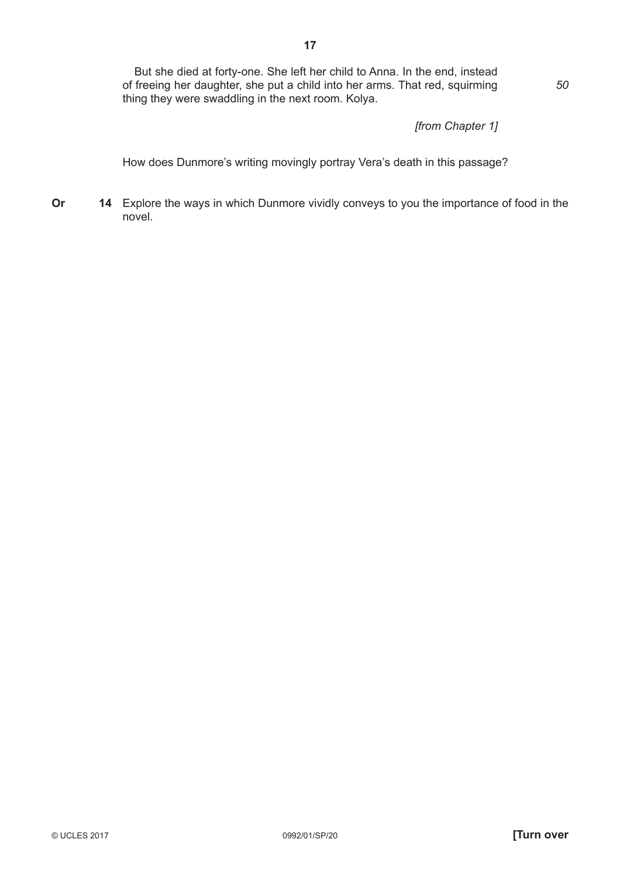**17**

*50*

 *[from Chapter 1]*

How does Dunmore's writing movingly portray Vera's death in this passage?

**Or 14** Explore the ways in which Dunmore vividly conveys to you the importance of food in the novel.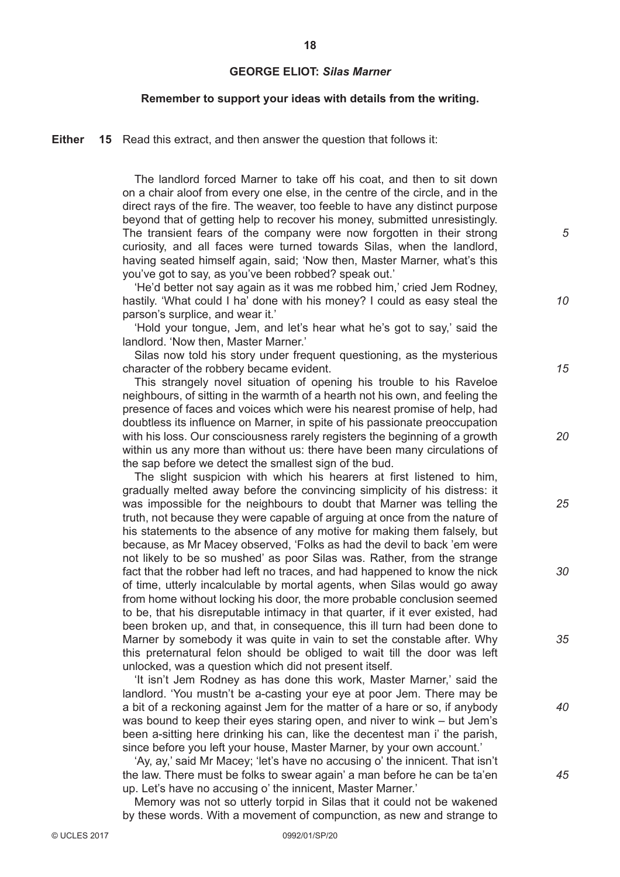#### **GEORGE ELIOT:** *Silas Marner*

#### **Remember to support your ideas with details from the writing.**

**Either 15** Read this extract, and then answer the question that follows it:

The landlord forced Marner to take off his coat, and then to sit down on a chair aloof from every one else, in the centre of the circle, and in the direct rays of the fire. The weaver, too feeble to have any distinct purpose beyond that of getting help to recover his money, submitted unresistingly. The transient fears of the company were now forgotten in their strong curiosity, and all faces were turned towards Silas, when the landlord, having seated himself again, said; 'Now then, Master Marner, what's this you've got to say, as you've been robbed? speak out.'

'He'd better not say again as it was me robbed him,' cried Jem Rodney, hastily. 'What could I ha' done with his money? I could as easy steal the parson's surplice, and wear it.'

'Hold your tongue, Jem, and let's hear what he's got to say,' said the landlord. 'Now then, Master Marner.'

Silas now told his story under frequent questioning, as the mysterious character of the robbery became evident.

This strangely novel situation of opening his trouble to his Raveloe neighbours, of sitting in the warmth of a hearth not his own, and feeling the presence of faces and voices which were his nearest promise of help, had doubtless its influence on Marner, in spite of his passionate preoccupation with his loss. Our consciousness rarely registers the beginning of a growth within us any more than without us: there have been many circulations of the sap before we detect the smallest sign of the bud.

The slight suspicion with which his hearers at first listened to him, gradually melted away before the convincing simplicity of his distress: it was impossible for the neighbours to doubt that Marner was telling the truth, not because they were capable of arguing at once from the nature of his statements to the absence of any motive for making them falsely, but because, as Mr Macey observed, 'Folks as had the devil to back 'em were not likely to be so mushed' as poor Silas was. Rather, from the strange fact that the robber had left no traces, and had happened to know the nick of time, utterly incalculable by mortal agents, when Silas would go away from home without locking his door, the more probable conclusion seemed to be, that his disreputable intimacy in that quarter, if it ever existed, had been broken up, and that, in consequence, this ill turn had been done to Marner by somebody it was quite in vain to set the constable after. Why this preternatural felon should be obliged to wait till the door was left unlocked, was a question which did not present itself.

'It isn't Jem Rodney as has done this work, Master Marner,' said the landlord. 'You mustn't be a-casting your eye at poor Jem. There may be a bit of a reckoning against Jem for the matter of a hare or so, if anybody was bound to keep their eyes staring open, and niver to wink – but Jem's been a-sitting here drinking his can, like the decentest man i' the parish, since before you left your house, Master Marner, by your own account.'

'Ay, ay,' said Mr Macey; 'let's have no accusing o' the innicent. That isn't the law. There must be folks to swear again' a man before he can be ta'en up. Let's have no accusing o' the innicent, Master Marner.'

Memory was not so utterly torpid in Silas that it could not be wakened by these words. With a movement of compunction, as new and strange to *5*

*10*

*15*

*20*

*25*

*30*

*35*

*40*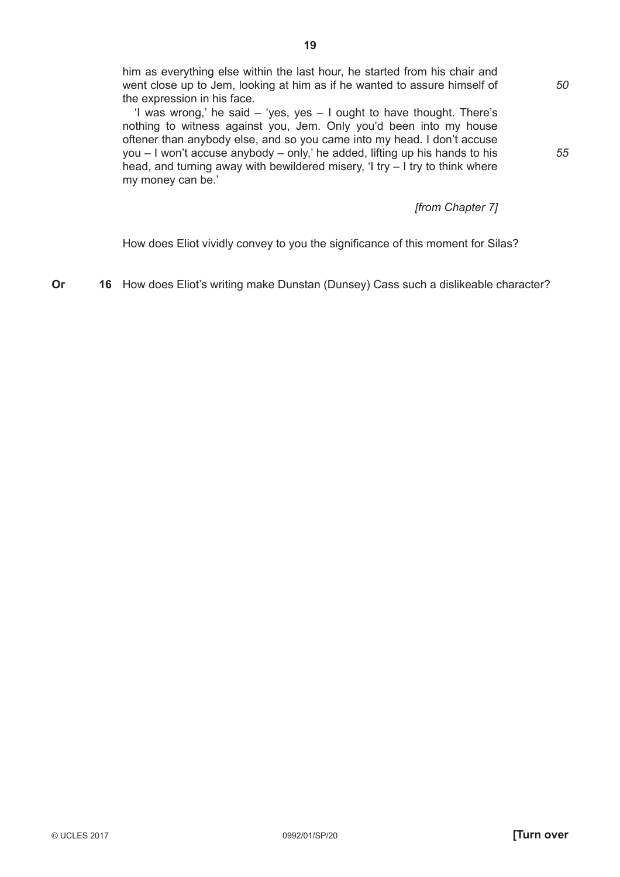him as everything else within the last hour, he started from his chair and went close up to Jem, looking at him as if he wanted to assure himself of the expression in his face.

'I was wrong,' he said – 'yes, yes – I ought to have thought. There's nothing to witness against you, Jem. Only you'd been into my house oftener than anybody else, and so you came into my head. I don't accuse you – I won't accuse anybody – only,' he added, lifting up his hands to his head, and turning away with bewildered misery, 'I try – I try to think where my money can be.'

 *[from Chapter 7]*

*50*

*55*

How does Eliot vividly convey to you the significance of this moment for Silas?

**Or 16** How does Eliot's writing make Dunstan (Dunsey) Cass such a dislikeable character?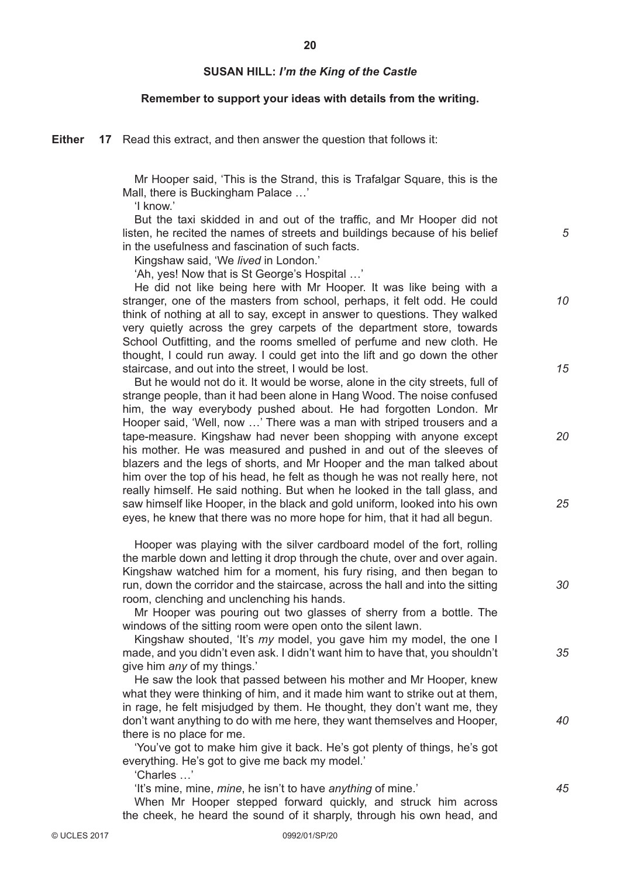## **SUSAN HILL:** *I'm the King of the Castle*

## **Remember to support your ideas with details from the writing.**

**Either 17** Read this extract, and then answer the question that follows it:

Mr Hooper said, 'This is the Strand, this is Trafalgar Square, this is the Mall, there is Buckingham Palace …'

'I know.'

But the taxi skidded in and out of the traffic, and Mr Hooper did not listen, he recited the names of streets and buildings because of his belief in the usefulness and fascination of such facts.

Kingshaw said, 'We *lived* in London.'

'Ah, yes! Now that is St George's Hospital …'

He did not like being here with Mr Hooper. It was like being with a stranger, one of the masters from school, perhaps, it felt odd. He could think of nothing at all to say, except in answer to questions. They walked very quietly across the grey carpets of the department store, towards School Outfitting, and the rooms smelled of perfume and new cloth. He thought, I could run away. I could get into the lift and go down the other staircase, and out into the street, I would be lost.

But he would not do it. It would be worse, alone in the city streets, full of strange people, than it had been alone in Hang Wood. The noise confused him, the way everybody pushed about. He had forgotten London. Mr Hooper said, 'Well, now …' There was a man with striped trousers and a tape-measure. Kingshaw had never been shopping with anyone except his mother. He was measured and pushed in and out of the sleeves of blazers and the legs of shorts, and Mr Hooper and the man talked about him over the top of his head, he felt as though he was not really here, not really himself. He said nothing. But when he looked in the tall glass, and saw himself like Hooper, in the black and gold uniform, looked into his own eyes, he knew that there was no more hope for him, that it had all begun.

Hooper was playing with the silver cardboard model of the fort, rolling the marble down and letting it drop through the chute, over and over again. Kingshaw watched him for a moment, his fury rising, and then began to run, down the corridor and the staircase, across the hall and into the sitting room, clenching and unclenching his hands.

Mr Hooper was pouring out two glasses of sherry from a bottle. The windows of the sitting room were open onto the silent lawn.

Kingshaw shouted, 'It's *my* model, you gave him my model, the one I made, and you didn't even ask. I didn't want him to have that, you shouldn't give him *any* of my things.'

He saw the look that passed between his mother and Mr Hooper, knew what they were thinking of him, and it made him want to strike out at them, in rage, he felt misjudged by them. He thought, they don't want me, they don't want anything to do with me here, they want themselves and Hooper, there is no place for me.

'You've got to make him give it back. He's got plenty of things, he's got everything. He's got to give me back my model.'

'Charles …'

'It's mine, mine, *mine*, he isn't to have *anything* of mine.'

When Mr Hooper stepped forward quickly, and struck him across the cheek, he heard the sound of it sharply, through his own head, and

*10*

*5*

*15*

*20*

*25*

*30*

*35*

*40*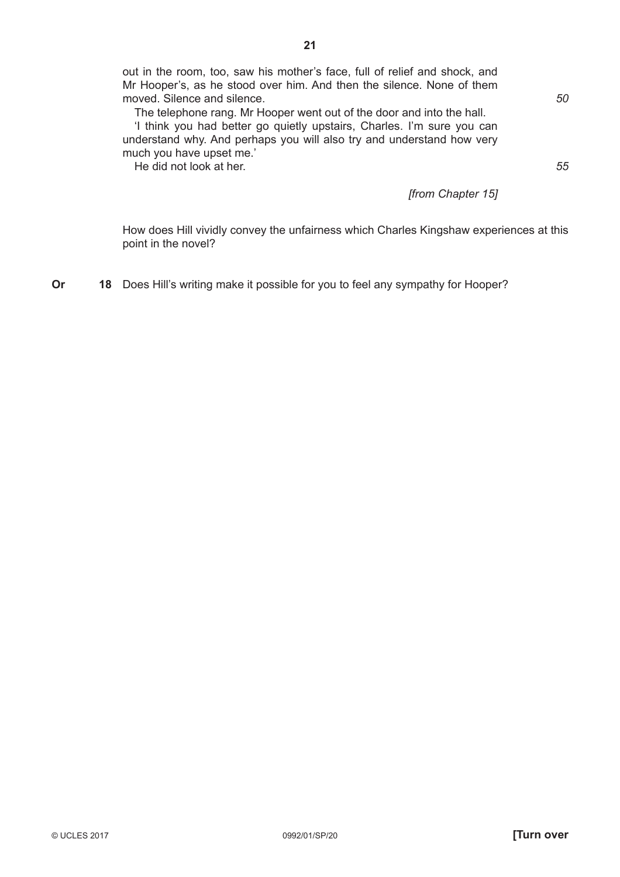out in the room, too, saw his mother's face, full of relief and shock, and Mr Hooper's, as he stood over him. And then the silence. None of them moved. Silence and silence.

The telephone rang. Mr Hooper went out of the door and into the hall.

'I think you had better go quietly upstairs, Charles. I'm sure you can understand why. And perhaps you will also try and understand how very much you have upset me.'

He did not look at her.

 *[from Chapter 15]*

How does Hill vividly convey the unfairness which Charles Kingshaw experiences at this point in the novel?

**Or 18** Does Hill's writing make it possible for you to feel any sympathy for Hooper?

*50*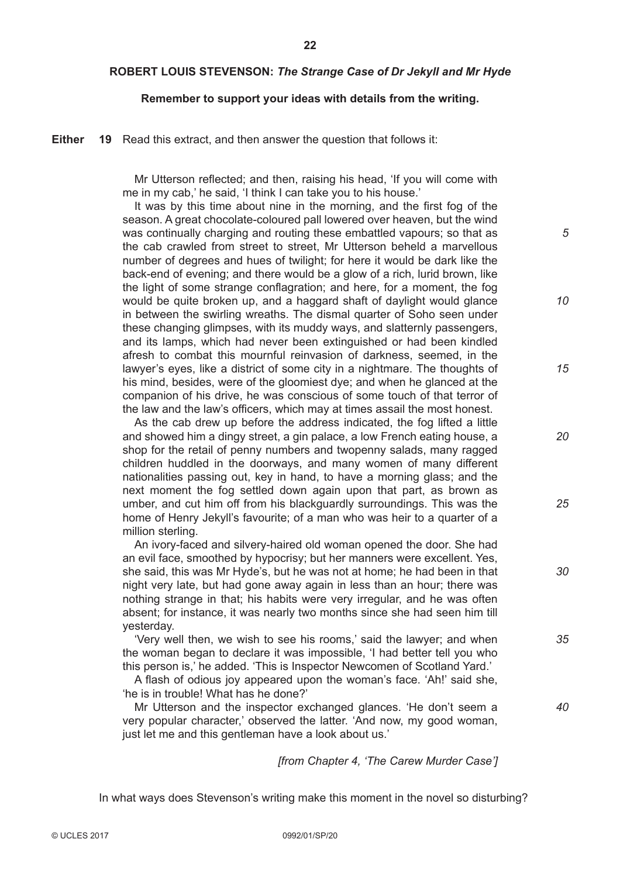#### **ROBERT LOUIS STEVENSON:** *The Strange Case of Dr Jekyll and Mr Hyde*

#### **Remember to support your ideas with details from the writing.**

**Either 19** Read this extract, and then answer the question that follows it:

Mr Utterson reflected; and then, raising his head, 'If you will come with me in my cab,' he said, 'I think I can take you to his house.'

It was by this time about nine in the morning, and the first fog of the season. A great chocolate-coloured pall lowered over heaven, but the wind was continually charging and routing these embattled vapours; so that as the cab crawled from street to street, Mr Utterson beheld a marvellous number of degrees and hues of twilight; for here it would be dark like the back-end of evening; and there would be a glow of a rich, lurid brown, like the light of some strange conflagration; and here, for a moment, the fog would be quite broken up, and a haggard shaft of daylight would glance in between the swirling wreaths. The dismal quarter of Soho seen under these changing glimpses, with its muddy ways, and slatternly passengers, and its lamps, which had never been extinguished or had been kindled afresh to combat this mournful reinvasion of darkness, seemed, in the lawyer's eyes, like a district of some city in a nightmare. The thoughts of his mind, besides, were of the gloomiest dye; and when he glanced at the companion of his drive, he was conscious of some touch of that terror of the law and the law's officers, which may at times assail the most honest.

As the cab drew up before the address indicated, the fog lifted a little and showed him a dingy street, a gin palace, a low French eating house, a shop for the retail of penny numbers and twopenny salads, many ragged children huddled in the doorways, and many women of many different nationalities passing out, key in hand, to have a morning glass; and the next moment the fog settled down again upon that part, as brown as umber, and cut him off from his blackguardly surroundings. This was the home of Henry Jekyll's favourite; of a man who was heir to a quarter of a million sterling.

An ivory-faced and silvery-haired old woman opened the door. She had an evil face, smoothed by hypocrisy; but her manners were excellent. Yes, she said, this was Mr Hyde's, but he was not at home; he had been in that night very late, but had gone away again in less than an hour; there was nothing strange in that; his habits were very irregular, and he was often absent; for instance, it was nearly two months since she had seen him till yesterday.

'Very well then, we wish to see his rooms,' said the lawyer; and when the woman began to declare it was impossible, 'I had better tell you who this person is,' he added. 'This is Inspector Newcomen of Scotland Yard.'

A flash of odious joy appeared upon the woman's face. 'Ah!' said she, 'he is in trouble! What has he done?'

Mr Utterson and the inspector exchanged glances. 'He don't seem a very popular character,' observed the latter. 'And now, my good woman, just let me and this gentleman have a look about us.'

 *[from Chapter 4, 'The Carew Murder Case']*

In what ways does Stevenson's writing make this moment in the novel so disturbing?

*40*

*15*

*10*

*5*

*20*

*25*

*30*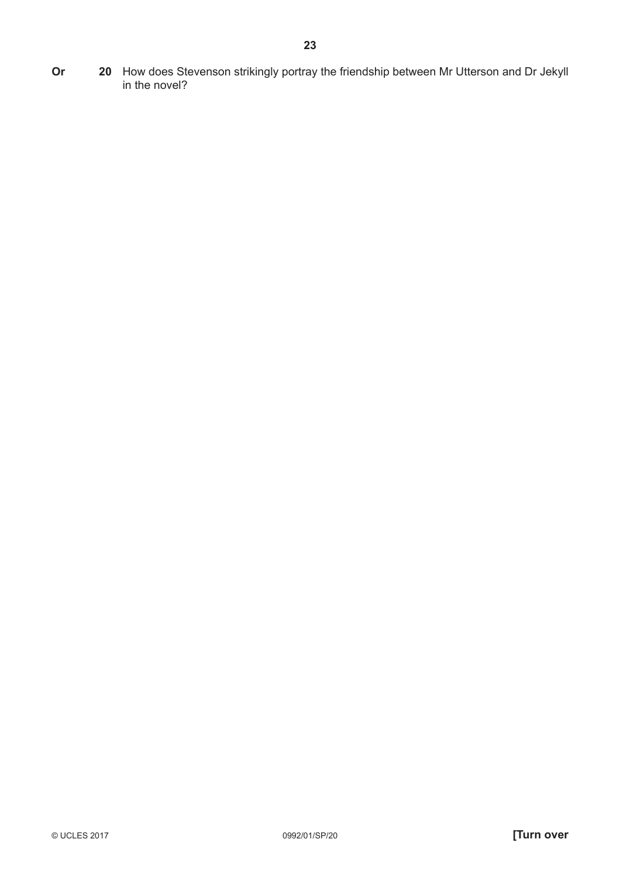**Or 20** How does Stevenson strikingly portray the friendship between Mr Utterson and Dr Jekyll in the novel?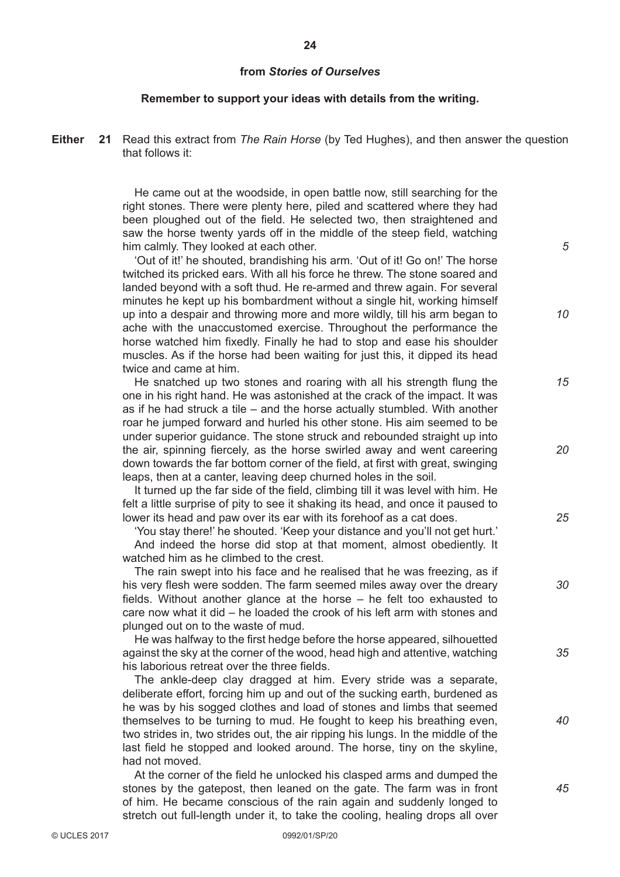#### **from** *Stories of Ourselves*

#### **Remember to support your ideas with details from the writing.**

**Either 21** Read this extract from *The Rain Horse* (by Ted Hughes), and then answer the question that follows it:

> He came out at the woodside, in open battle now, still searching for the right stones. There were plenty here, piled and scattered where they had been ploughed out of the field. He selected two, then straightened and saw the horse twenty yards off in the middle of the steep field, watching him calmly. They looked at each other.

> 'Out of it!' he shouted, brandishing his arm. 'Out of it! Go on!' The horse twitched its pricked ears. With all his force he threw. The stone soared and landed beyond with a soft thud. He re-armed and threw again. For several minutes he kept up his bombardment without a single hit, working himself up into a despair and throwing more and more wildly, till his arm began to ache with the unaccustomed exercise. Throughout the performance the horse watched him fixedly. Finally he had to stop and ease his shoulder muscles. As if the horse had been waiting for just this, it dipped its head twice and came at him.

He snatched up two stones and roaring with all his strength flung the one in his right hand. He was astonished at the crack of the impact. It was as if he had struck a tile – and the horse actually stumbled. With another roar he jumped forward and hurled his other stone. His aim seemed to be under superior guidance. The stone struck and rebounded straight up into the air, spinning fiercely, as the horse swirled away and went careering down towards the far bottom corner of the field, at first with great, swinging leaps, then at a canter, leaving deep churned holes in the soil.

It turned up the far side of the field, climbing till it was level with him. He felt a little surprise of pity to see it shaking its head, and once it paused to lower its head and paw over its ear with its forehoof as a cat does.

'You stay there!' he shouted. 'Keep your distance and you'll not get hurt.'

And indeed the horse did stop at that moment, almost obediently. It watched him as he climbed to the crest.

The rain swept into his face and he realised that he was freezing, as if his very flesh were sodden. The farm seemed miles away over the dreary fields. Without another glance at the horse – he felt too exhausted to care now what it did – he loaded the crook of his left arm with stones and plunged out on to the waste of mud.

He was halfway to the first hedge before the horse appeared, silhouetted against the sky at the corner of the wood, head high and attentive, watching his laborious retreat over the three fields.

The ankle-deep clay dragged at him. Every stride was a separate, deliberate effort, forcing him up and out of the sucking earth, burdened as he was by his sogged clothes and load of stones and limbs that seemed themselves to be turning to mud. He fought to keep his breathing even, two strides in, two strides out, the air ripping his lungs. In the middle of the last field he stopped and looked around. The horse, tiny on the skyline, had not moved.

At the corner of the field he unlocked his clasped arms and dumped the stones by the gatepost, then leaned on the gate. The farm was in front of him. He became conscious of the rain again and suddenly longed to stretch out full-length under it, to take the cooling, healing drops all over

*45*

*5*

*10*

*20*

*15*

*25*

*30*

*35*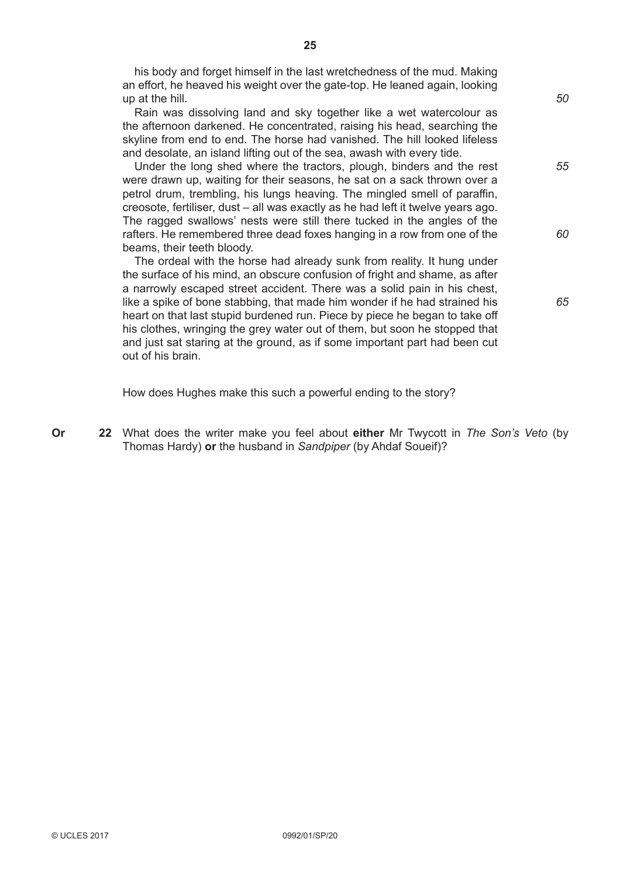his body and forget himself in the last wretchedness of the mud. Making an effort, he heaved his weight over the gate-top. He leaned again, looking up at the hill.

Rain was dissolving land and sky together like a wet watercolour as the afternoon darkened. He concentrated, raising his head, searching the skyline from end to end. The horse had vanished. The hill looked lifeless and desolate, an island lifting out of the sea, awash with every tide.

Under the long shed where the tractors, plough, binders and the rest were drawn up, waiting for their seasons, he sat on a sack thrown over a petrol drum, trembling, his lungs heaving. The mingled smell of paraffin, creosote, fertiliser, dust – all was exactly as he had left it twelve years ago. The ragged swallows' nests were still there tucked in the angles of the rafters. He remembered three dead foxes hanging in a row from one of the beams, their teeth bloody.

The ordeal with the horse had already sunk from reality. It hung under the surface of his mind, an obscure confusion of fright and shame, as after a narrowly escaped street accident. There was a solid pain in his chest, like a spike of bone stabbing, that made him wonder if he had strained his heart on that last stupid burdened run. Piece by piece he began to take off his clothes, wringing the grey water out of them, but soon he stopped that and just sat staring at the ground, as if some important part had been cut out of his brain.

How does Hughes make this such a powerful ending to the story?

**Or 22** What does the writer make you feel about **either** Mr Twycott in *The Son's Veto* (by Thomas Hardy) **or** the husband in *Sandpiper* (by Ahdaf Soueif)?

*55*

*65*